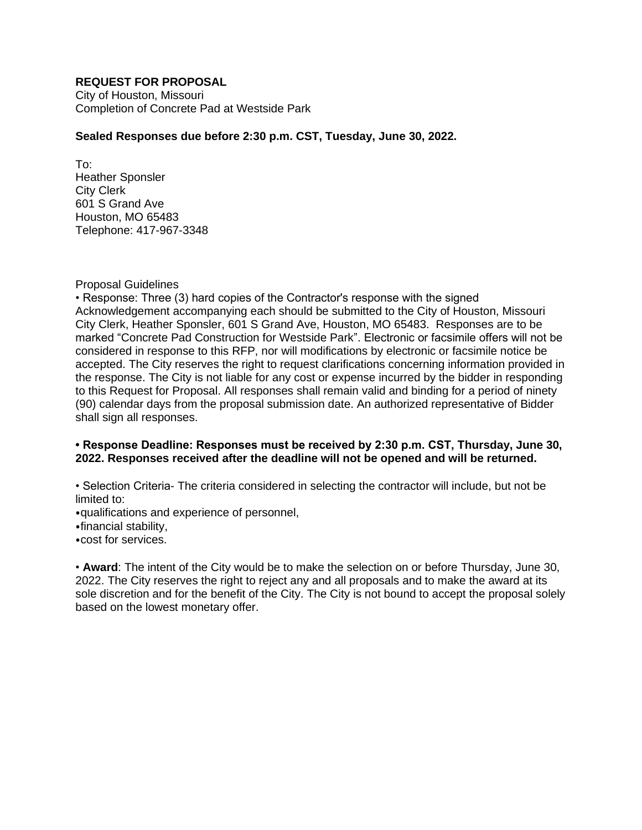## **REQUEST FOR PROPOSAL**

City of Houston, Missouri Completion of Concrete Pad at Westside Park

### **Sealed Responses due before 2:30 p.m. CST, Tuesday, June 30, 2022.**

To: Heather Sponsler City Clerk 601 S Grand Ave Houston, MO 65483 Telephone: 417-967-3348

#### Proposal Guidelines

• Response: Three (3) hard copies of the Contractor's response with the signed Acknowledgement accompanying each should be submitted to the City of Houston, Missouri City Clerk, Heather Sponsler, 601 S Grand Ave, Houston, MO 65483. Responses are to be marked "Concrete Pad Construction for Westside Park". Electronic or facsimile offers will not be considered in response to this RFP, nor will modifications by electronic or facsimile notice be accepted. The City reserves the right to request clarifications concerning information provided in the response. The City is not liable for any cost or expense incurred by the bidder in responding to this Request for Proposal. All responses shall remain valid and binding for a period of ninety (90) calendar days from the proposal submission date. An authorized representative of Bidder shall sign all responses.

### **• Response Deadline: Responses must be received by 2:30 p.m. CST, Thursday, June 30, 2022. Responses received after the deadline will not be opened and will be returned.**

• Selection Criteria- The criteria considered in selecting the contractor will include, but not be limited to:

⦁qualifications and experience of personnel,

⦁financial stability,

⦁cost for services.

• **Award**: The intent of the City would be to make the selection on or before Thursday, June 30, 2022. The City reserves the right to reject any and all proposals and to make the award at its sole discretion and for the benefit of the City. The City is not bound to accept the proposal solely based on the lowest monetary offer.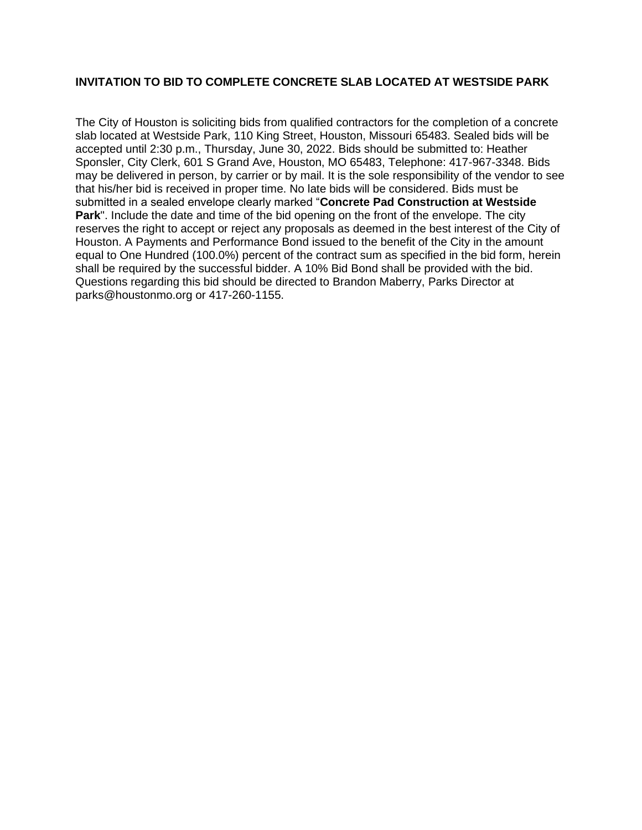## **INVITATION TO BID TO COMPLETE CONCRETE SLAB LOCATED AT WESTSIDE PARK**

The City of Houston is soliciting bids from qualified contractors for the completion of a concrete slab located at Westside Park, 110 King Street, Houston, Missouri 65483. Sealed bids will be accepted until 2:30 p.m., Thursday, June 30, 2022. Bids should be submitted to: Heather Sponsler, City Clerk, 601 S Grand Ave, Houston, MO 65483, Telephone: 417-967-3348. Bids may be delivered in person, by carrier or by mail. It is the sole responsibility of the vendor to see that his/her bid is received in proper time. No late bids will be considered. Bids must be submitted in a sealed envelope clearly marked "**Concrete Pad Construction at Westside Park**". Include the date and time of the bid opening on the front of the envelope. The city reserves the right to accept or reject any proposals as deemed in the best interest of the City of Houston. A Payments and Performance Bond issued to the benefit of the City in the amount equal to One Hundred (100.0%) percent of the contract sum as specified in the bid form, herein shall be required by the successful bidder. A 10% Bid Bond shall be provided with the bid. Questions regarding this bid should be directed to Brandon Maberry, Parks Director at parks@houstonmo.org or 417-260-1155.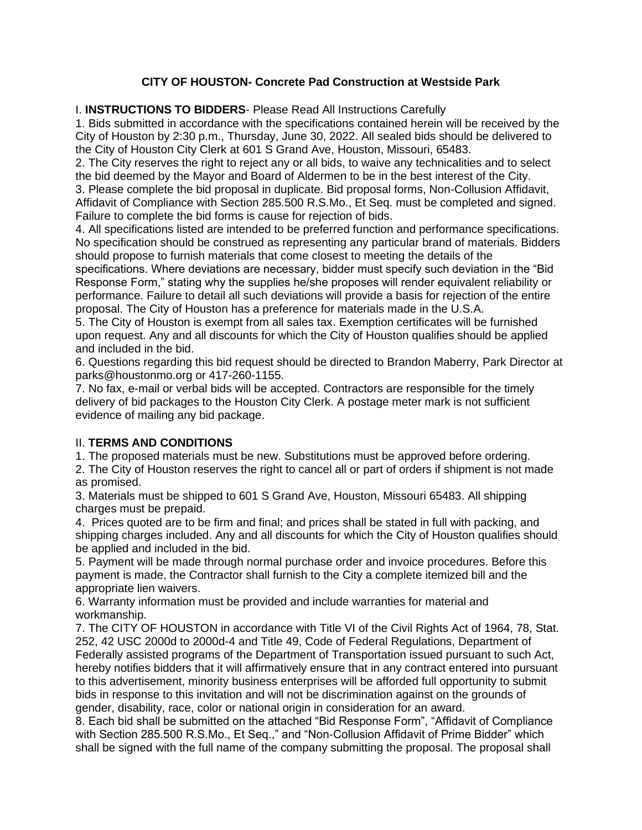# **CITY OF HOUSTON- Concrete Pad Construction at Westside Park**

I. **INSTRUCTIONS TO BIDDERS**- Please Read All Instructions Carefully

1. Bids submitted in accordance with the specifications contained herein will be received by the City of Houston by 2:30 p.m., Thursday, June 30, 2022. All sealed bids should be delivered to the City of Houston City Clerk at 601 S Grand Ave, Houston, Missouri, 65483.

2. The City reserves the right to reject any or all bids, to waive any technicalities and to select the bid deemed by the Mayor and Board of Aldermen to be in the best interest of the City.

3. Please complete the bid proposal in duplicate. Bid proposal forms, Non-Collusion Affidavit, Affidavit of Compliance with Section 285.500 R.S.Mo., Et Seq. must be completed and signed. Failure to complete the bid forms is cause for rejection of bids.

4. All specifications listed are intended to be preferred function and performance specifications. No specification should be construed as representing any particular brand of materials. Bidders should propose to furnish materials that come closest to meeting the details of the

specifications. Where deviations are necessary, bidder must specify such deviation in the "Bid Response Form," stating why the supplies he/she proposes will render equivalent reliability or performance. Failure to detail all such deviations will provide a basis for rejection of the entire proposal. The City of Houston has a preference for materials made in the U.S.A.

5. The City of Houston is exempt from all sales tax. Exemption certificates will be furnished upon request. Any and all discounts for which the City of Houston qualifies should be applied and included in the bid.

6. Questions regarding this bid request should be directed to Brandon Maberry, Park Director at parks@houstonmo.org or 417-260-1155.

7. No fax, e-mail or verbal bids will be accepted. Contractors are responsible for the timely delivery of bid packages to the Houston City Clerk. A postage meter mark is not sufficient evidence of mailing any bid package.

## II. **TERMS AND CONDITIONS**

1. The proposed materials must be new. Substitutions must be approved before ordering.

2. The City of Houston reserves the right to cancel all or part of orders if shipment is not made as promised.

3. Materials must be shipped to 601 S Grand Ave, Houston, Missouri 65483. All shipping charges must be prepaid.

4. Prices quoted are to be firm and final; and prices shall be stated in full with packing, and shipping charges included. Any and all discounts for which the City of Houston qualifies should be applied and included in the bid.

5. Payment will be made through normal purchase order and invoice procedures. Before this payment is made, the Contractor shall furnish to the City a complete itemized bill and the appropriate lien waivers.

6. Warranty information must be provided and include warranties for material and workmanship.

7. The CITY OF HOUSTON in accordance with Title VI of the Civil Rights Act of 1964, 78, Stat. 252, 42 USC 2000d to 2000d-4 and Title 49, Code of Federal Regulations, Department of Federally assisted programs of the Department of Transportation issued pursuant to such Act, hereby notifies bidders that it will affirmatively ensure that in any contract entered into pursuant to this advertisement, minority business enterprises will be afforded full opportunity to submit bids in response to this invitation and will not be discrimination against on the grounds of gender, disability, race, color or national origin in consideration for an award.

8. Each bid shall be submitted on the attached "Bid Response Form", "Affidavit of Compliance with Section 285.500 R.S.Mo., Et Seq.," and "Non-Collusion Affidavit of Prime Bidder" which shall be signed with the full name of the company submitting the proposal. The proposal shall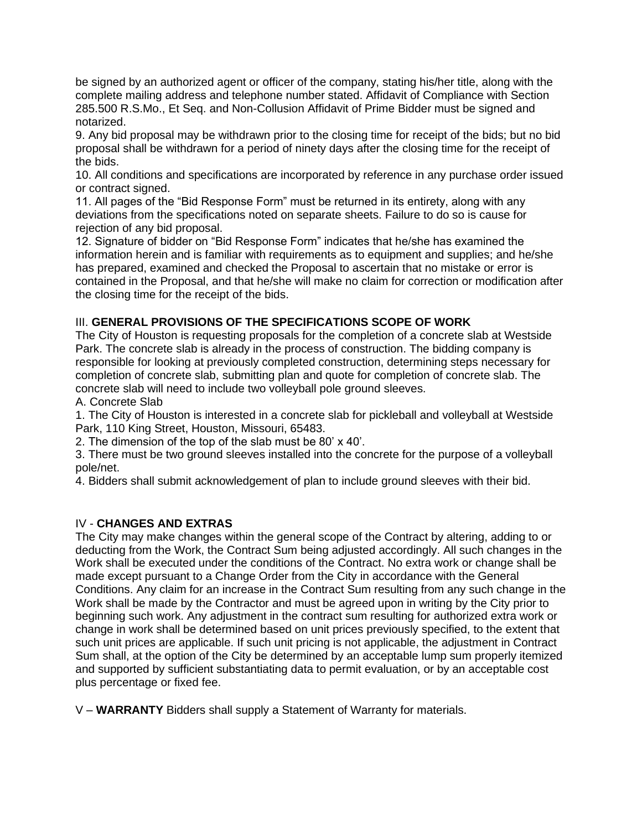be signed by an authorized agent or officer of the company, stating his/her title, along with the complete mailing address and telephone number stated. Affidavit of Compliance with Section 285.500 R.S.Mo., Et Seq. and Non-Collusion Affidavit of Prime Bidder must be signed and notarized.

9. Any bid proposal may be withdrawn prior to the closing time for receipt of the bids; but no bid proposal shall be withdrawn for a period of ninety days after the closing time for the receipt of the bids.

10. All conditions and specifications are incorporated by reference in any purchase order issued or contract signed.

11. All pages of the "Bid Response Form" must be returned in its entirety, along with any deviations from the specifications noted on separate sheets. Failure to do so is cause for rejection of any bid proposal.

12. Signature of bidder on "Bid Response Form" indicates that he/she has examined the information herein and is familiar with requirements as to equipment and supplies; and he/she has prepared, examined and checked the Proposal to ascertain that no mistake or error is contained in the Proposal, and that he/she will make no claim for correction or modification after the closing time for the receipt of the bids.

## III. **GENERAL PROVISIONS OF THE SPECIFICATIONS SCOPE OF WORK**

The City of Houston is requesting proposals for the completion of a concrete slab at Westside Park. The concrete slab is already in the process of construction. The bidding company is responsible for looking at previously completed construction, determining steps necessary for completion of concrete slab, submitting plan and quote for completion of concrete slab. The concrete slab will need to include two volleyball pole ground sleeves.

A. Concrete Slab

1. The City of Houston is interested in a concrete slab for pickleball and volleyball at Westside Park, 110 King Street, Houston, Missouri, 65483.

2. The dimension of the top of the slab must be 80' x 40'.

3. There must be two ground sleeves installed into the concrete for the purpose of a volleyball pole/net.

4. Bidders shall submit acknowledgement of plan to include ground sleeves with their bid.

## IV - **CHANGES AND EXTRAS**

The City may make changes within the general scope of the Contract by altering, adding to or deducting from the Work, the Contract Sum being adjusted accordingly. All such changes in the Work shall be executed under the conditions of the Contract. No extra work or change shall be made except pursuant to a Change Order from the City in accordance with the General Conditions. Any claim for an increase in the Contract Sum resulting from any such change in the Work shall be made by the Contractor and must be agreed upon in writing by the City prior to beginning such work. Any adjustment in the contract sum resulting for authorized extra work or change in work shall be determined based on unit prices previously specified, to the extent that such unit prices are applicable. If such unit pricing is not applicable, the adjustment in Contract Sum shall, at the option of the City be determined by an acceptable lump sum properly itemized and supported by sufficient substantiating data to permit evaluation, or by an acceptable cost plus percentage or fixed fee.

V – **WARRANTY** Bidders shall supply a Statement of Warranty for materials.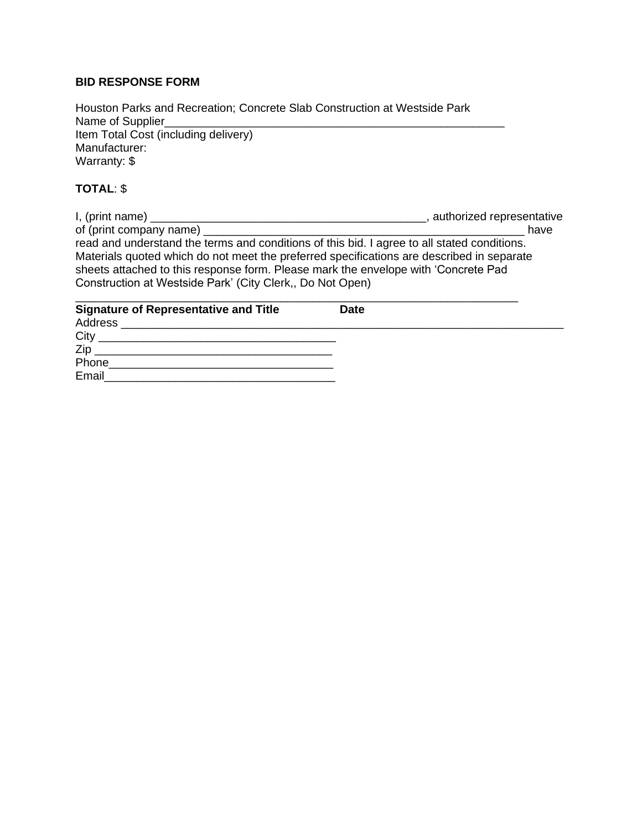## **BID RESPONSE FORM**

Houston Parks and Recreation; Concrete Slab Construction at Westside Park Name of Supplier\_ Item Total Cost (including delivery) Manufacturer: Warranty: \$

# **TOTAL**: \$

I, (print name) \_\_\_\_\_\_\_\_\_\_\_\_\_\_\_\_\_\_\_\_\_\_\_\_\_\_\_\_\_\_\_\_\_\_\_\_\_\_\_\_\_\_\_, authorized representative of (print company name) \_\_\_\_\_\_\_\_\_\_\_\_\_\_\_\_\_\_\_\_\_\_\_\_\_\_\_\_\_\_\_\_\_\_\_\_\_\_\_\_\_\_\_\_\_\_\_\_\_\_ have read and understand the terms and conditions of this bid. I agree to all stated conditions. Materials quoted which do not meet the preferred specifications are described in separate sheets attached to this response form. Please mark the envelope with 'Concrete Pad Construction at Westside Park' (City Clerk,, Do Not Open) \_\_\_\_\_\_\_\_\_\_\_\_\_\_\_\_\_\_\_\_\_\_\_\_\_\_\_\_\_\_\_\_\_\_\_\_\_\_\_\_\_\_\_\_\_\_\_\_\_\_\_\_\_\_\_\_\_\_\_\_\_\_\_\_\_\_\_\_\_

| <b>Signature of Representative and Title</b>                                                                                 | <b>Date</b> |
|------------------------------------------------------------------------------------------------------------------------------|-------------|
|                                                                                                                              |             |
| City<br><u> 1999 - Jan James James James James James James James James James James James James James James James James J</u> |             |
| Zip                                                                                                                          |             |
| Phone                                                                                                                        |             |
| Email                                                                                                                        |             |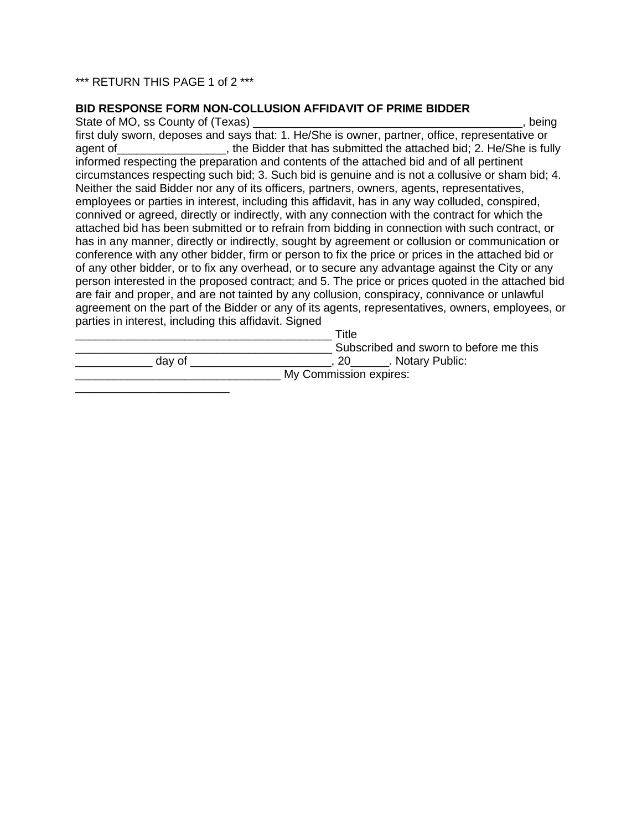### \*\*\* RETURN THIS PAGE 1 of 2 \*\*\*

\_\_\_\_\_\_\_\_\_\_\_\_\_\_\_\_\_\_\_\_\_\_\_\_

#### **BID RESPONSE FORM NON-COLLUSION AFFIDAVIT OF PRIME BIDDER**

State of MO, ss County of (Texas) **Example 20** and the state of MO, ss County of (Texas) first duly sworn, deposes and says that: 1. He/She is owner, partner, office, representative or agent of Table 2. Hereign of the Bidder that has submitted the attached bid; 2. He/She is fully informed respecting the preparation and contents of the attached bid and of all pertinent circumstances respecting such bid; 3. Such bid is genuine and is not a collusive or sham bid; 4. Neither the said Bidder nor any of its officers, partners, owners, agents, representatives, employees or parties in interest, including this affidavit, has in any way colluded, conspired, connived or agreed, directly or indirectly, with any connection with the contract for which the attached bid has been submitted or to refrain from bidding in connection with such contract, or has in any manner, directly or indirectly, sought by agreement or collusion or communication or conference with any other bidder, firm or person to fix the price or prices in the attached bid or of any other bidder, or to fix any overhead, or to secure any advantage against the City or any person interested in the proposed contract; and 5. The price or prices quoted in the attached bid are fair and proper, and are not tainted by any collusion, conspiracy, connivance or unlawful agreement on the part of the Bidder or any of its agents, representatives, owners, employees, or parties in interest, including this affidavit. Signed

|        | Title                                  |
|--------|----------------------------------------|
|        | Subscribed and sworn to before me this |
| day of | . Notary Public:                       |
|        | My Commission expires:                 |